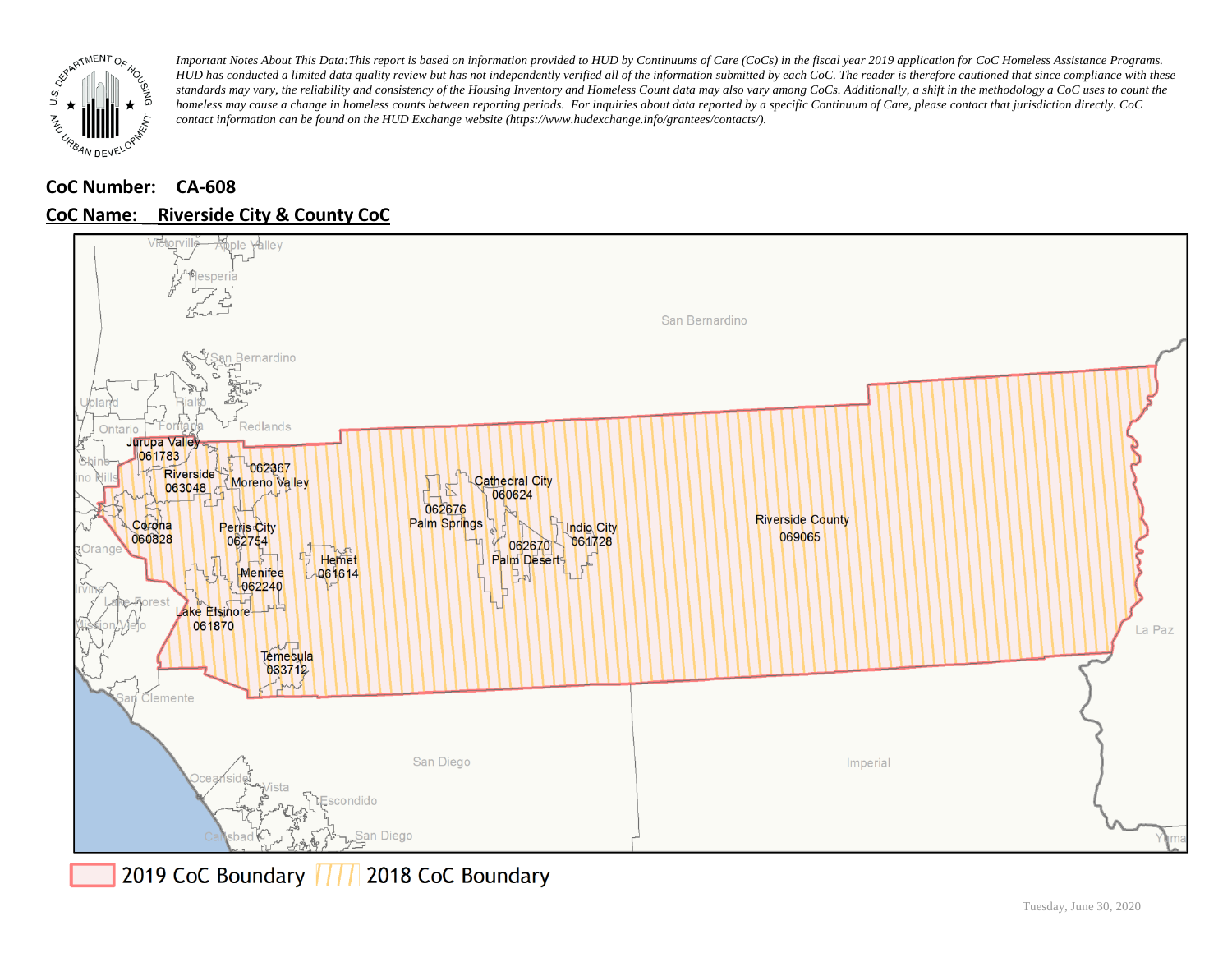

## **CoC Number: CA-608 CoC Name: \_\_ Riverside City & County CoC**



2019 CoC Boundary 777 2018 CoC Boundary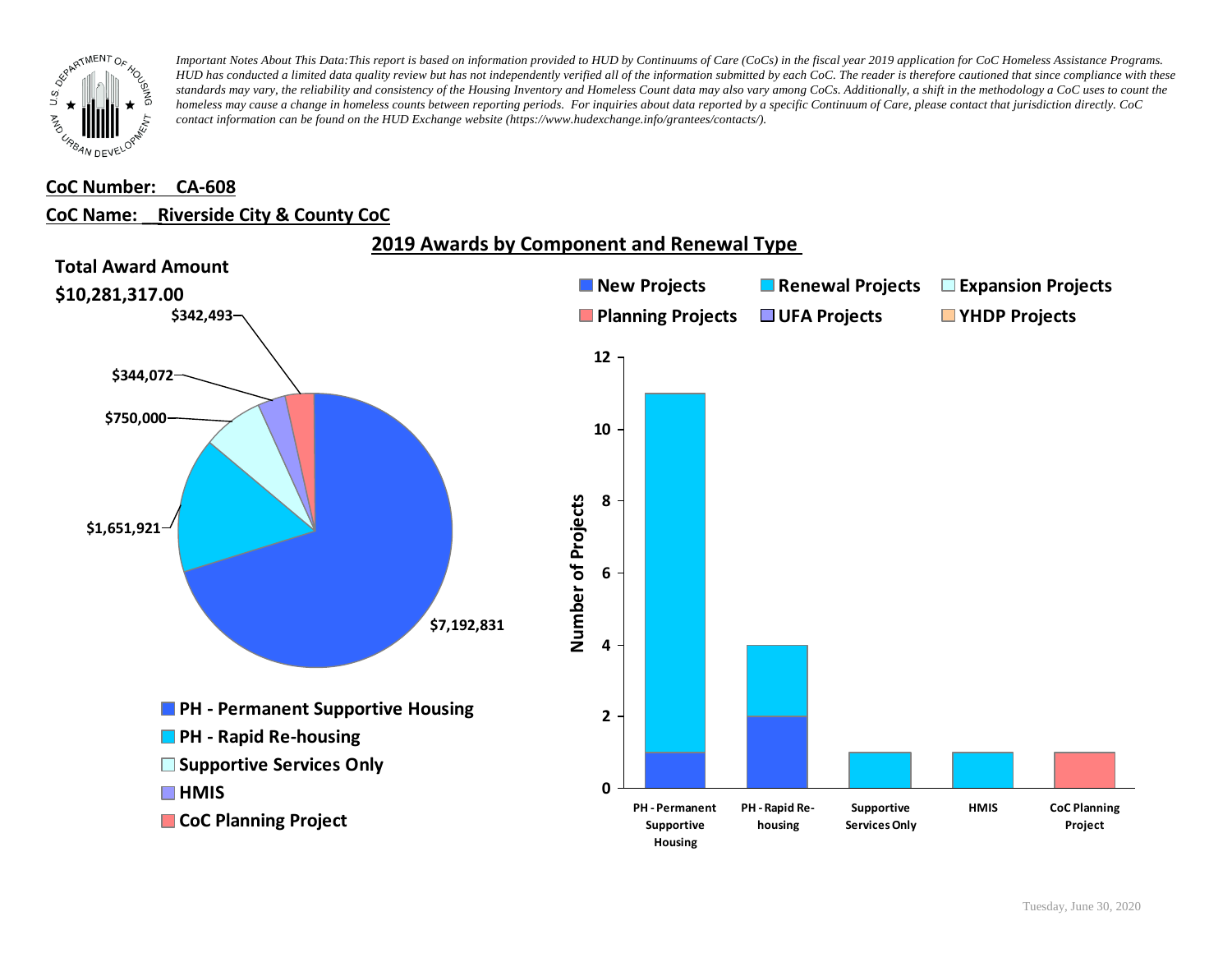

#### **CoC Number: CA-608**

#### **CoC Name: \_\_ Riverside City & County CoC**

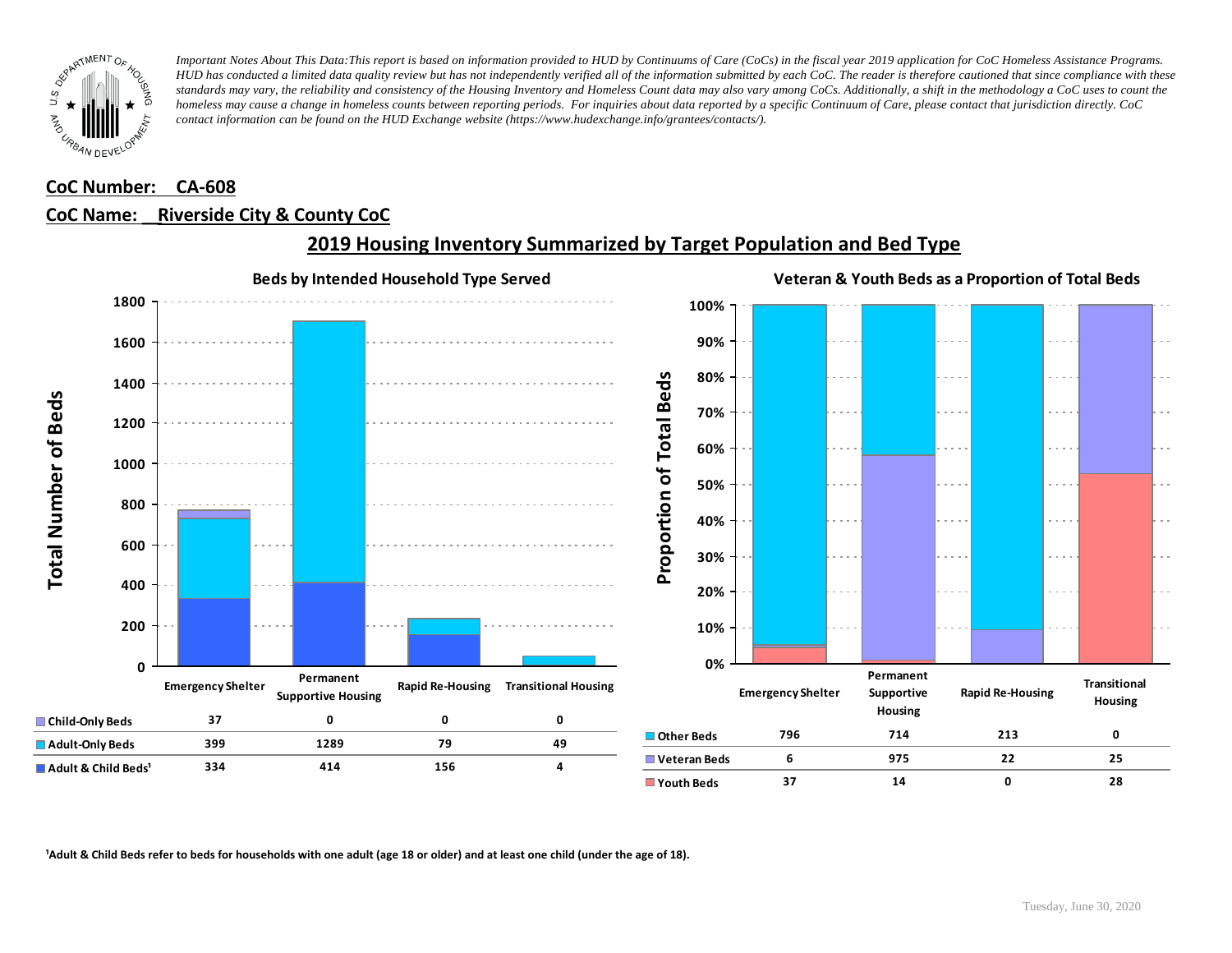

### **CoC Number: CA-608**

#### **CoC Name: \_\_ Riverside City & County CoC**



## **2019 Housing Inventory Summarized by Target Population and Bed Type**

<sup>1</sup> Adult & Child Beds refer to beds for households with one adult (age 18 or older) and at least one child (under the age of 18).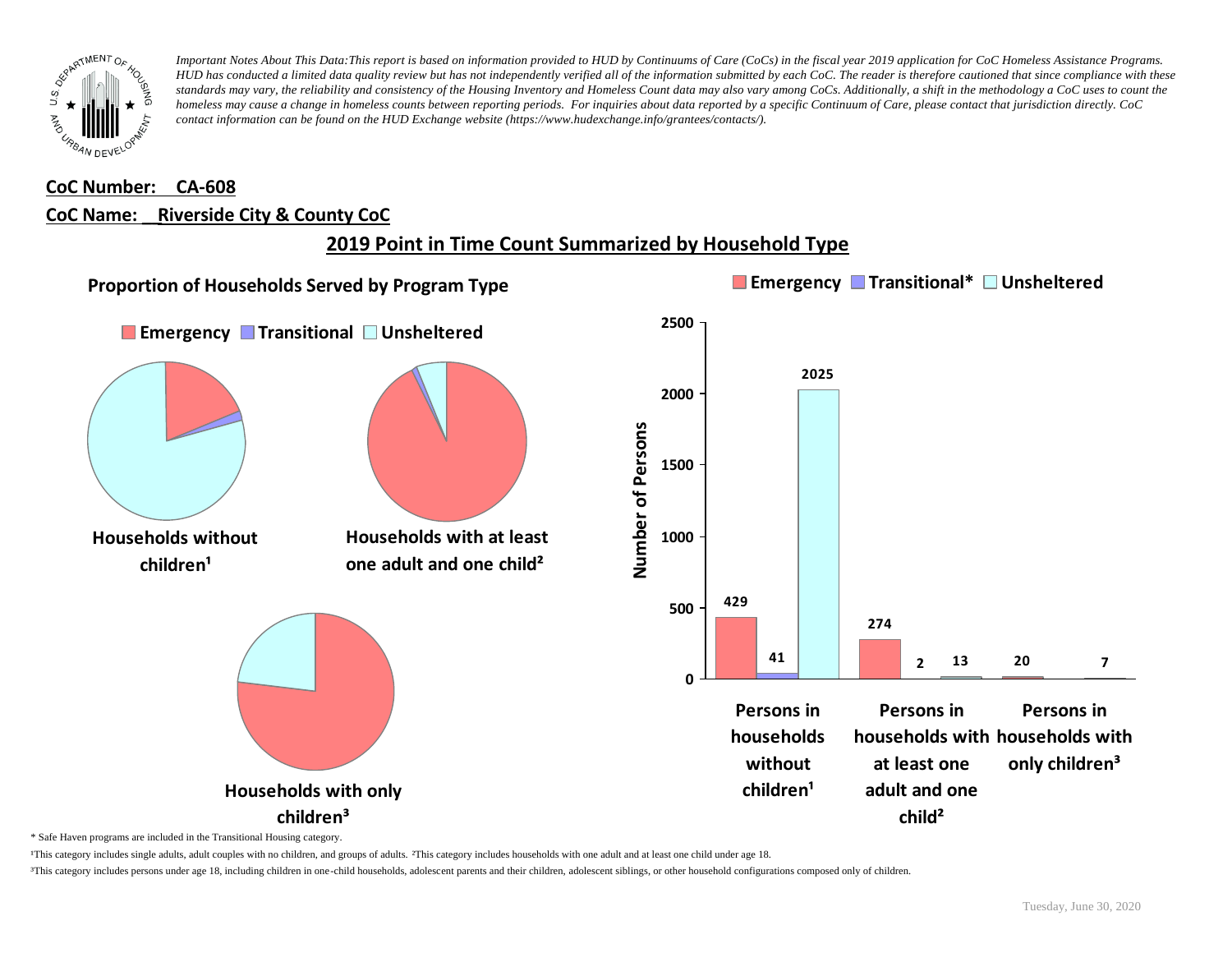

## **CoC Number: CA-608 CoC Name: \_\_ Riverside City & County CoC**

# **2019 Point in Time Count Summarized by Household Type**



\* Safe Haven programs are included in the Transitional Housing category.

¹This category includes single adults, adult couples with no children, and groups of adults. ²This category includes households with one adult and at least one child under age 18.

³This category includes persons under age 18, including children in one-child households, adolescent parents and their children, adolescent siblings, or other household configurations composed only of children.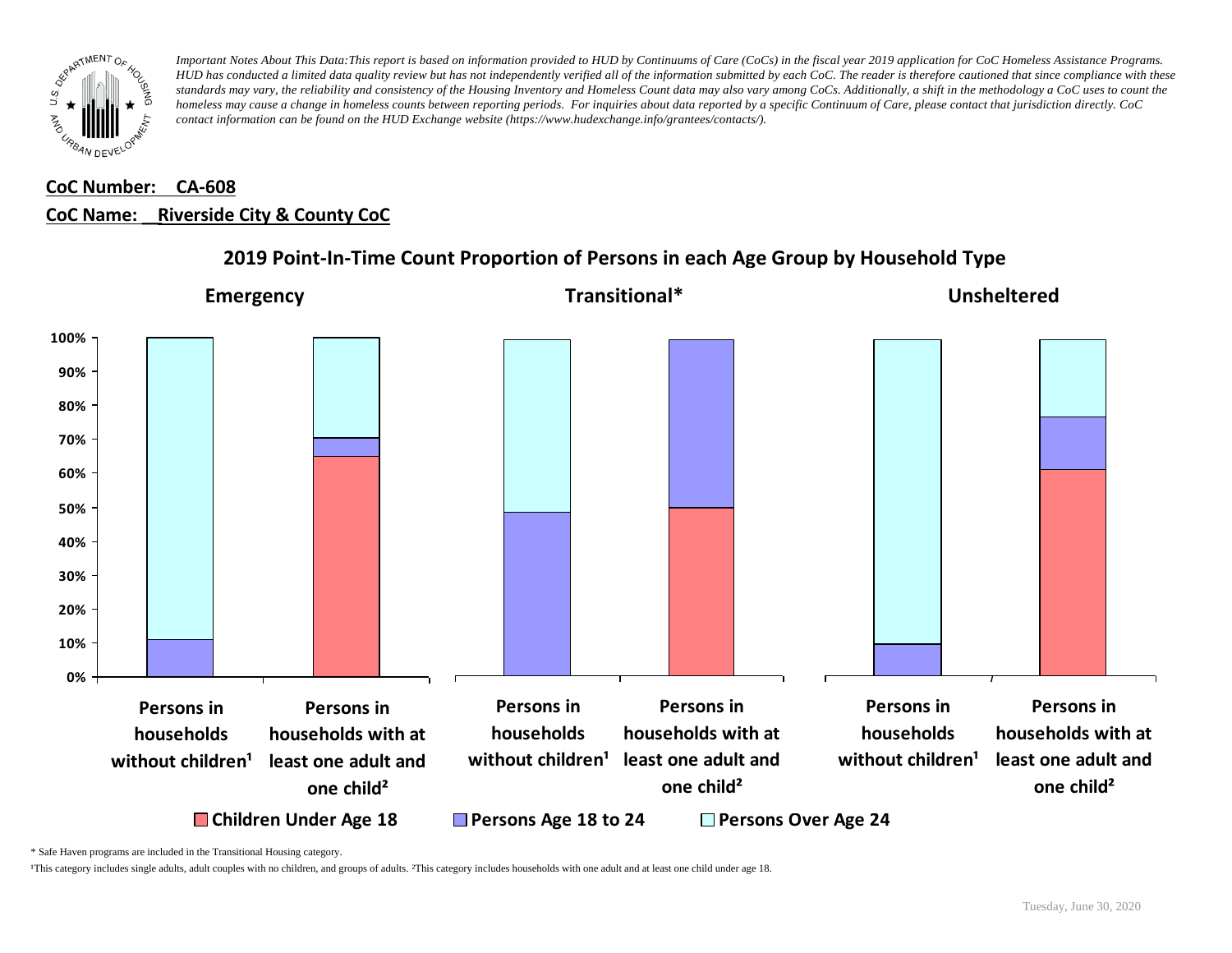

# **CoC Number: CA-608 CoC Name: \_\_ Riverside City & County CoC**



## **2019 Point-In-Time Count Proportion of Persons in each Age Group by Household Type**

\* Safe Haven programs are included in the Transitional Housing category.

¹This category includes single adults, adult couples with no children, and groups of adults. ²This category includes households with one adult and at least one child under age 18.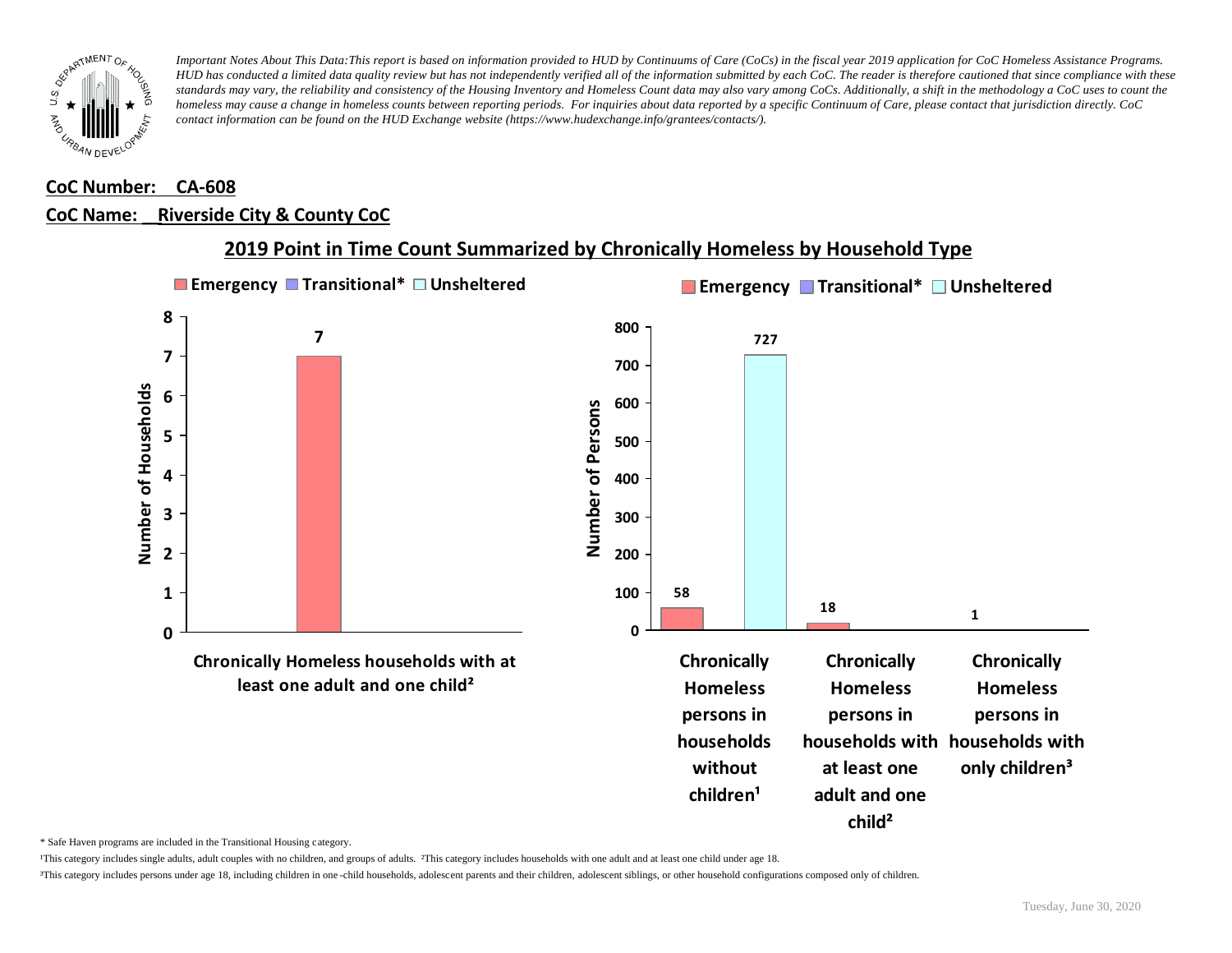

### **CoC Number: CA-608**

#### **CoC Name: \_\_ Riverside City & County CoC**



### **2019 Point in Time Count Summarized by Chronically Homeless by Household Type**

\* Safe Haven programs are included in the Transitional Housing category.

¹This category includes single adults, adult couples with no children, and groups of adults. ²This category includes households with one adult and at least one child under age 18.

³This category includes persons under age 18, including children in one -child households, adolescent parents and their children, adolescent siblings, or other household configurations composed only of children.